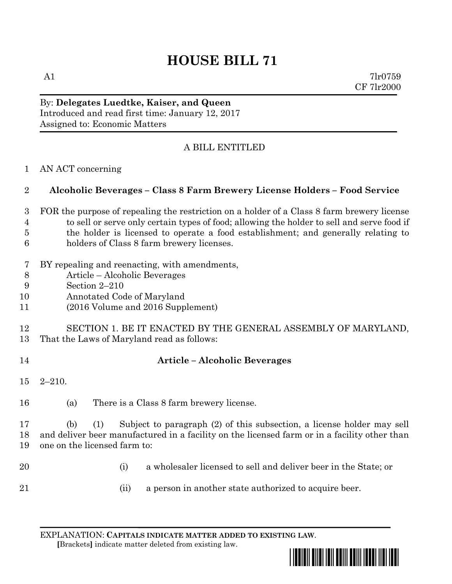# **HOUSE BILL 71**

A1  $7\text{l}r0759$ CF 7lr2000

By: **Delegates Luedtke, Kaiser, and Queen** Introduced and read first time: January 12, 2017 Assigned to: Economic Matters

## A BILL ENTITLED

AN ACT concerning

#### **Alcoholic Beverages – Class 8 Farm Brewery License Holders – Food Service**

- FOR the purpose of repealing the restriction on a holder of a Class 8 farm brewery license to sell or serve only certain types of food; allowing the holder to sell and serve food if the holder is licensed to operate a food establishment; and generally relating to holders of Class 8 farm brewery licenses.
- BY repealing and reenacting, with amendments,
- Article Alcoholic Beverages
- Section 2–210
- Annotated Code of Maryland
- (2016 Volume and 2016 Supplement)

#### SECTION 1. BE IT ENACTED BY THE GENERAL ASSEMBLY OF MARYLAND, That the Laws of Maryland read as follows:

- 
- **Article – Alcoholic Beverages**
- 2–210.
- (a) There is a Class 8 farm brewery license.

 (b) (1) Subject to paragraph (2) of this subsection, a license holder may sell and deliver beer manufactured in a facility on the licensed farm or in a facility other than one on the licensed farm to:

- 
- (i) a wholesaler licensed to sell and deliver beer in the State; or
- 
- (ii) a person in another state authorized to acquire beer.

EXPLANATION: **CAPITALS INDICATE MATTER ADDED TO EXISTING LAW**.  **[**Brackets**]** indicate matter deleted from existing law.

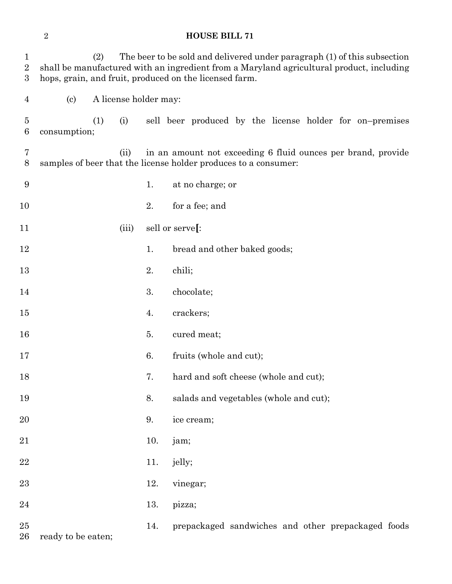## **HOUSE BILL 71**

| $\mathbf{1}$<br>$\overline{2}$<br>$\boldsymbol{3}$ | The beer to be sold and delivered under paragraph (1) of this subsection<br>(2)<br>shall be manufactured with an ingredient from a Maryland agricultural product, including<br>hops, grain, and fruit, produced on the licensed farm. |     |                       |     |                 |                                                              |  |  |  |  |  |
|----------------------------------------------------|---------------------------------------------------------------------------------------------------------------------------------------------------------------------------------------------------------------------------------------|-----|-----------------------|-----|-----------------|--------------------------------------------------------------|--|--|--|--|--|
| $\overline{4}$                                     | $\left( \text{c}\right)$                                                                                                                                                                                                              |     | A license holder may: |     |                 |                                                              |  |  |  |  |  |
| 5<br>6                                             | consumption;                                                                                                                                                                                                                          | (1) | (i)                   |     |                 | sell beer produced by the license holder for on-premises     |  |  |  |  |  |
| 7<br>$8\,$                                         | samples of beer that the license holder produces to a consumer:                                                                                                                                                                       |     | (ii)                  |     |                 | in an amount not exceeding 6 fluid ounces per brand, provide |  |  |  |  |  |
| 9                                                  |                                                                                                                                                                                                                                       |     |                       | 1.  |                 | at no charge; or                                             |  |  |  |  |  |
| 10                                                 |                                                                                                                                                                                                                                       |     |                       | 2.  |                 | for a fee; and                                               |  |  |  |  |  |
| 11                                                 |                                                                                                                                                                                                                                       |     | (iii)                 |     | sell or serve[: |                                                              |  |  |  |  |  |
| 12                                                 |                                                                                                                                                                                                                                       |     |                       | 1.  |                 | bread and other baked goods;                                 |  |  |  |  |  |
| 13                                                 |                                                                                                                                                                                                                                       |     |                       | 2.  | chili;          |                                                              |  |  |  |  |  |
| 14                                                 |                                                                                                                                                                                                                                       |     |                       | 3.  |                 | chocolate;                                                   |  |  |  |  |  |
| 15                                                 |                                                                                                                                                                                                                                       |     |                       | 4.  |                 | crackers;                                                    |  |  |  |  |  |
| 16                                                 |                                                                                                                                                                                                                                       |     |                       | 5.  |                 | cured meat;                                                  |  |  |  |  |  |
| 17                                                 |                                                                                                                                                                                                                                       |     |                       | 6.  |                 | fruits (whole and cut);                                      |  |  |  |  |  |
| 18                                                 |                                                                                                                                                                                                                                       |     |                       | 7.  |                 | hard and soft cheese (whole and cut);                        |  |  |  |  |  |
| 19                                                 |                                                                                                                                                                                                                                       |     |                       | 8.  |                 | salads and vegetables (whole and cut);                       |  |  |  |  |  |
| 20                                                 |                                                                                                                                                                                                                                       |     |                       | 9.  |                 | ice cream;                                                   |  |  |  |  |  |
| 21                                                 |                                                                                                                                                                                                                                       |     |                       | 10. | jam;            |                                                              |  |  |  |  |  |
| 22                                                 |                                                                                                                                                                                                                                       |     |                       | 11. | jelly;          |                                                              |  |  |  |  |  |
| 23                                                 |                                                                                                                                                                                                                                       |     |                       | 12. |                 | vinegar;                                                     |  |  |  |  |  |
| 24                                                 |                                                                                                                                                                                                                                       |     |                       | 13. | pizza;          |                                                              |  |  |  |  |  |
| 25<br>26                                           | ready to be eaten;                                                                                                                                                                                                                    |     |                       | 14. |                 | prepackaged sandwiches and other prepackaged foods           |  |  |  |  |  |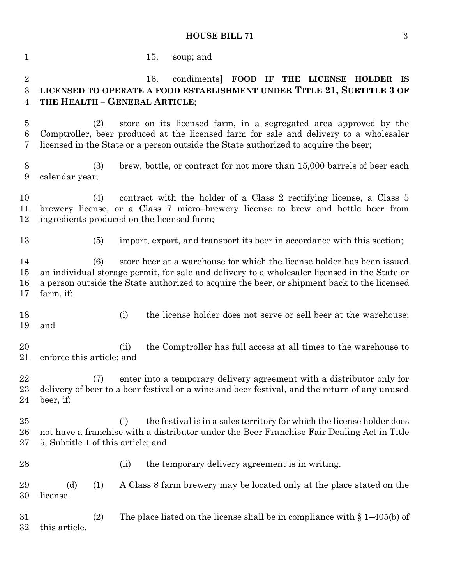## **HOUSE BILL 71** 3

| $\mathbf{1}$                           | 15.<br>soup; and                                                                                                                                                                                                                                                                          |
|----------------------------------------|-------------------------------------------------------------------------------------------------------------------------------------------------------------------------------------------------------------------------------------------------------------------------------------------|
| $\overline{2}$<br>3<br>$\overline{4}$  | FOOD IF THE LICENSE HOLDER IS<br>16.<br>condiments<br>LICENSED TO OPERATE A FOOD ESTABLISHMENT UNDER TITLE 21, SUBTITLE 3 OF<br>THE HEALTH - GENERAL ARTICLE;                                                                                                                             |
| $\overline{5}$<br>$6\phantom{.}6$<br>7 | store on its licensed farm, in a segregated area approved by the<br>(2)<br>Comptroller, beer produced at the licensed farm for sale and delivery to a wholesaler<br>licensed in the State or a person outside the State authorized to acquire the beer;                                   |
| 8<br>9                                 | (3)<br>brew, bottle, or contract for not more than 15,000 barrels of beer each<br>calendar year;                                                                                                                                                                                          |
| 10<br>11<br>12                         | contract with the holder of a Class 2 rectifying license, a Class 5<br>(4)<br>brewery license, or a Class 7 micro-brewery license to brew and bottle beer from<br>ingredients produced on the licensed farm;                                                                              |
| 13                                     | import, export, and transport its beer in accordance with this section;<br>(5)                                                                                                                                                                                                            |
| 14<br>15<br>16<br>17                   | store beer at a warehouse for which the license holder has been issued<br>(6)<br>an individual storage permit, for sale and delivery to a wholesaler licensed in the State or<br>a person outside the State authorized to acquire the beer, or shipment back to the licensed<br>farm, if: |
| 18<br>19                               | the license holder does not serve or sell beer at the warehouse;<br>(i)<br>and                                                                                                                                                                                                            |
| 20<br>21                               | the Comptroller has full access at all times to the warehouse to<br>(ii)<br>enforce this article; and                                                                                                                                                                                     |
| 22<br>23<br>24                         | enter into a temporary delivery agreement with a distributor only for<br>(7)<br>delivery of beer to a beer festival or a wine and beer festival, and the return of any unused<br>beer, if:                                                                                                |
| $25\,$<br>26<br>27                     | the festival is in a sales territory for which the license holder does<br>(i)<br>not have a franchise with a distributor under the Beer Franchise Fair Dealing Act in Title<br>5, Subtitle 1 of this article; and                                                                         |
| 28                                     | the temporary delivery agreement is in writing.<br>(ii)                                                                                                                                                                                                                                   |
| 29<br>30                               | A Class 8 farm brewery may be located only at the place stated on the<br>(d)<br>(1)<br>license.                                                                                                                                                                                           |
| 31<br>32                               | The place listed on the license shall be in compliance with $\S 1-405(b)$ of<br>(2)<br>this article.                                                                                                                                                                                      |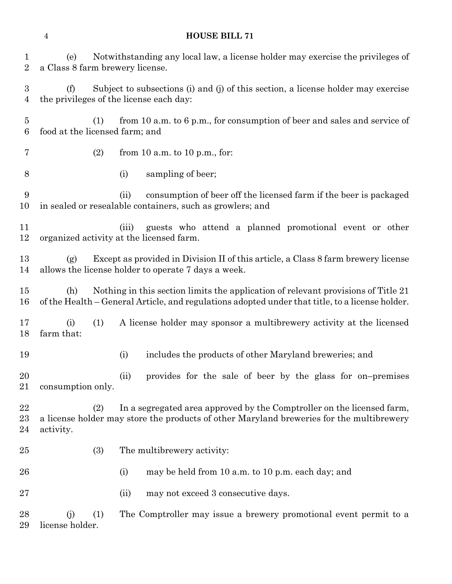## **HOUSE BILL 71**

| 1<br>$\overline{2}$     | Notwithstanding any local law, a license holder may exercise the privileges of<br>(e)<br>a Class 8 farm brewery license.                                                                    |
|-------------------------|---------------------------------------------------------------------------------------------------------------------------------------------------------------------------------------------|
| 3<br>4                  | Subject to subsections (i) and (j) of this section, a license holder may exercise<br>(f)<br>the privileges of the license each day:                                                         |
| $\overline{5}$<br>6     | from 10 a.m. to 6 p.m., for consumption of beer and sales and service of<br>(1)<br>food at the licensed farm; and                                                                           |
| 7                       | (2)<br>from 10 a.m. to 10 p.m., for:                                                                                                                                                        |
| 8                       | sampling of beer;<br>(i)                                                                                                                                                                    |
| 9<br>10                 | consumption of beer off the licensed farm if the beer is packaged<br>(ii)<br>in sealed or resealable containers, such as growlers; and                                                      |
| 11<br>12                | guests who attend a planned promotional event or other<br>(iii)<br>organized activity at the licensed farm.                                                                                 |
| 13<br>14                | Except as provided in Division II of this article, a Class 8 farm brewery license<br>(g)<br>allows the license holder to operate 7 days a week.                                             |
| 15<br>16                | Nothing in this section limits the application of relevant provisions of Title 21<br>(h)<br>of the Health – General Article, and regulations adopted under that title, to a license holder. |
| 17<br>18                | (1)<br>A license holder may sponsor a multibrewery activity at the licensed<br>(i)<br>farm that:                                                                                            |
| 19                      | includes the products of other Maryland breweries; and<br>(i)                                                                                                                               |
| 20<br>21                | provides for the sale of beer by the glass for on-premises<br>(ii)<br>consumption only.                                                                                                     |
| $22\,$<br>$^{23}$<br>24 | In a segregated area approved by the Comptroller on the licensed farm,<br>(2)<br>a license holder may store the products of other Maryland breweries for the multibrewery<br>activity.      |
| 25                      | (3)<br>The multibrewery activity:                                                                                                                                                           |
| 26                      | (i)<br>may be held from 10 a.m. to 10 p.m. each day; and                                                                                                                                    |
| $27\,$                  | may not exceed 3 consecutive days.<br>(ii)                                                                                                                                                  |
| 28<br>29                | The Comptroller may issue a brewery promotional event permit to a<br>(1)<br>(j)<br>license holder.                                                                                          |